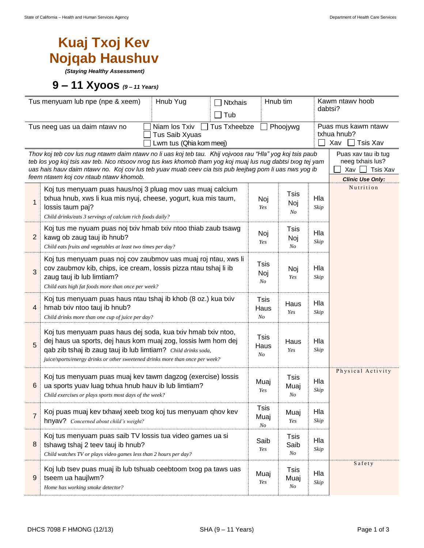## **Kuaj Txoj Kev Nojqab Haushuv**

*(Staying Healthy Assessment)*

**9 – 11 Xyoos** *(9 – <sup>11</sup> Years)*

|                                                                                                                                                                                                                                                                                                                                                                                                                                                                        | Tus menyuam lub npe (npe & xeem)<br>Hnub Yug<br>Ntxhais<br>Tub                                                                                                                                                                                                                  | Hnub tim                              |                           |             | Kawm ntawy hoob<br>dabtsi?                            |  |
|------------------------------------------------------------------------------------------------------------------------------------------------------------------------------------------------------------------------------------------------------------------------------------------------------------------------------------------------------------------------------------------------------------------------------------------------------------------------|---------------------------------------------------------------------------------------------------------------------------------------------------------------------------------------------------------------------------------------------------------------------------------|---------------------------------------|---------------------------|-------------|-------------------------------------------------------|--|
|                                                                                                                                                                                                                                                                                                                                                                                                                                                                        | $\Box$ Tus Txheebze<br>Tus neeg uas ua daim ntawy no<br>Niam los Txiv<br>Tus Saib Xyuas<br>Lwm tus (Qhia kom meej)                                                                                                                                                              |                                       | Phoojywg                  |             | Puas mus kawm ntawv<br>txhua hnub?<br>Tsis Xav<br>Xav |  |
| Puas xav tau ib tug<br>Thov koj teb cov lus nug ntawm daim ntawv no li uas koj teb tau. Khij vojvoos rau "Hla" yog koj tsis paub<br>neeg txhais lus?<br>teb los yog koj tsis xav teb. Nco ntsoov nrog tus kws khomob tham yog koj muaj lus nug dabtsi txog tej yam<br>uas hais hauv daim ntawv no. Koj cov lus teb yuav muab ceev cia tsis pub leejtwg pom li uas nws yog ib<br>Tsis Xav<br>Xav  <br>feem ntawm koj cov ntaub ntawv khomob.<br><b>Clinic Use Only:</b> |                                                                                                                                                                                                                                                                                 |                                       |                           |             |                                                       |  |
| $\mathbf{1}$                                                                                                                                                                                                                                                                                                                                                                                                                                                           | Koj tus menyuam puas haus/noj 3 pluag mov uas muaj calcium<br>txhua hnub, xws li kua mis nyuj, cheese, yogurt, kua mis taum,<br>lossis taum paj?<br>Child drinks/eats 3 servings of calcium rich foods daily?                                                                   | Noj<br>Yes                            | Tsis<br>Noj<br>No         | Hla<br>Skip | Nutrition                                             |  |
| $\overline{2}$                                                                                                                                                                                                                                                                                                                                                                                                                                                         | Koj tus me nyuam puas noj txiv hmab txiv ntoo thiab zaub tsawg<br>kawg ob zaug tauj ib hnub?<br>Child eats fruits and vegetables at least two times per day?                                                                                                                    | Noj<br>Yes                            | Tsis<br>Noj<br>No         | Hla<br>Skip |                                                       |  |
| 3                                                                                                                                                                                                                                                                                                                                                                                                                                                                      | Koj tus menyuam puas noj cov zaubmov uas muaj roj ntau, xws li<br>cov zaubmov kib, chips, ice cream, lossis pizza ntau tshaj li ib<br>zaug tauj ib lub limtiam?<br>Child eats high fat foods more than once per week?                                                           | Tsis<br>Noj<br>N <sub>O</sub>         | Noj<br>Yes                | Hla<br>Skip |                                                       |  |
| 4                                                                                                                                                                                                                                                                                                                                                                                                                                                                      | Koj tus menyuam puas haus ntau tshaj ib khob (8 oz.) kua txiv<br>hmab txiv ntoo tauj ib hnub?<br>Child drinks more than one cup of juice per day?                                                                                                                               | <b>Tsis</b><br>Haus<br>N <sub>O</sub> | Haus<br>Yes               | Hla<br>Skip |                                                       |  |
| 5                                                                                                                                                                                                                                                                                                                                                                                                                                                                      | Koj tus menyuam puas haus dej soda, kua txiv hmab txiv ntoo,<br>dej haus ua sports, dej haus kom muaj zog, lossis lwm hom dej<br>qab zib tshaj ib zaug tauj ib lub limtiam? Child drinks soda,<br>juice/sports/energy drinks or other sweetened drinks more than once per week? | <b>Tsis</b><br>Haus<br>N <sub>O</sub> | Haus<br>Yes               | Hla<br>Skip |                                                       |  |
| 6                                                                                                                                                                                                                                                                                                                                                                                                                                                                      | Koj tus menyuam puas muaj kev tawm dagzog (exercise) lossis<br>ua sports yuav luag txhua hnub hauv ib lub limtiam?<br>Child exercises or plays sports most days of the week?                                                                                                    | Muaj<br>Yes                           | <b>Tsis</b><br>Muaj<br>No | Hla<br>Skip | Physical Activity                                     |  |
| $\overline{7}$                                                                                                                                                                                                                                                                                                                                                                                                                                                         | Koj puas muaj kev txhawj xeeb txog koj tus menyuam qhov kev<br>hnyav? Concerned about child's weight?                                                                                                                                                                           | Tsis<br>Muaj<br>$\it No$              | Muaj<br>Yes               | Hla<br>Skip |                                                       |  |
| 8                                                                                                                                                                                                                                                                                                                                                                                                                                                                      | Koj tus menyuam puas saib TV lossis tua video games ua si<br>tshawg tshaj 2 teev tauj ib hnub?<br>Child watches TV or plays video games less than 2 hours per day?                                                                                                              | Saib<br>Yes                           | Tsis<br>Saib<br>No        | Hla<br>Skip |                                                       |  |
| 9                                                                                                                                                                                                                                                                                                                                                                                                                                                                      | Koj lub tsev puas muaj ib lub tshuab ceebtoom txog pa taws uas<br>tseem ua haujlwm?<br>Home has working smoke detector?                                                                                                                                                         | Muaj<br>Yes                           | Tsis<br>Muaj<br>No        | Hla<br>Skip | Safety                                                |  |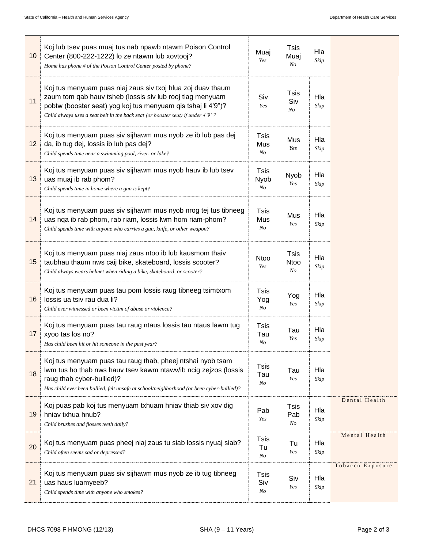| 10 | Koj lub tsev puas muaj tus nab npawb ntawm Poison Control<br>Center (800-222-1222) lo ze ntawm lub xovtooj?<br>Home has phone # of the Poison Control Center posted by phone?                                                                                               | Muaj<br>Yes                           | <b>Tsis</b><br>Muaj<br>N <sub>O</sub> | Hla<br>Skip |                  |
|----|-----------------------------------------------------------------------------------------------------------------------------------------------------------------------------------------------------------------------------------------------------------------------------|---------------------------------------|---------------------------------------|-------------|------------------|
| 11 | Koj tus menyuam puas niaj zaus siv txoj hlua zoj duav thaum<br>zaum tom qab hauv tsheb (lossis siv lub rooj tiag menyuam<br>pobtw (booster seat) yog koj tus menyuam qis tshaj li 4'9")?<br>Child always uses a seat belt in the back seat (or booster seat) if under 4'9"? | Siv<br>Yes                            | Tsis<br>Siv<br>No                     | Hla<br>Skip |                  |
| 12 | Koj tus menyuam puas siv sijhawm mus nyob ze ib lub pas dej<br>da, ib tug dej, lossis ib lub pas dej?<br>Child spends time near a swimming pool, river, or lake?                                                                                                            | Tsis<br>Mus<br>No                     | Mus<br>Yes                            | Hla<br>Skip |                  |
| 13 | Koj tus menyuam puas siv sijhawm mus nyob hauv ib lub tsev<br>uas muaj ib rab phom?<br>Child spends time in home where a gun is kept?                                                                                                                                       | <b>Tsis</b><br>Nyob<br>N <sub>O</sub> | Nyob<br>Yes                           | Hla<br>Skip |                  |
| 14 | Koj tus menyuam puas siv sijhawm mus nyob nrog tej tus tibneeg<br>uas nqa ib rab phom, rab riam, lossis lwm hom riam-phom?<br>Child spends time with anyone who carries a gun, knife, or other weapon?                                                                      | Tsis<br>Mus<br>N <sub>O</sub>         | Mus<br>Yes                            | Hla<br>Skip |                  |
| 15 | Koj tus menyuam puas niaj zaus ntoo ib lub kausmom thaiv<br>taubhau thaum nws caij bike, skateboard, lossis scooter?<br>Child always wears helmet when riding a bike, skateboard, or scooter?                                                                               | <b>Ntoo</b><br>Yes                    | <b>Tsis</b><br>Ntoo<br>No             | Hla<br>Skip |                  |
| 16 | Koj tus menyuam puas tau pom lossis raug tibneeg tsimtxom<br>lossis ua tsiv rau dua li?<br>Child ever witnessed or been victim of abuse or violence?                                                                                                                        | Tsis<br>Yog<br>$N_{O}$                | Yog<br>Yes                            | Hla<br>Skip |                  |
| 17 | Koj tus menyuam puas tau raug ntaus lossis tau ntaus lawm tug<br>xyoo tas los no?<br>Has child been hit or hit someone in the past year?                                                                                                                                    | Tsis<br>Tau<br>N <sub>O</sub>         | Tau<br>Yes                            | Hla<br>Skip |                  |
| 18 | Koj tus menyuam puas tau raug thab, pheej ntshai nyob tsam<br>lwm tus ho thab nws hauv tsev kawm ntawv/ib ncig zejzos (lossis<br>raug thab cyber-bullied)?<br>Has child ever been bullied, felt unsafe at school/neighborhood (or been cyber-bullied)?                      | <b>Tsis</b><br>Tau<br>$N_{O}$         | Tau<br>Yes                            | Hla<br>Skip |                  |
| 19 | Koj puas pab koj tus menyuam txhuam hniav thiab siv xov dig<br>hniav txhua hnub?<br>Child brushes and flosses teeth daily?                                                                                                                                                  | Pab<br>Yes                            | <b>Tsis</b><br>Pab<br>No              | Hla<br>Skip | Dental Health    |
| 20 | Koj tus menyuam puas pheej niaj zaus tu siab lossis nyuaj siab?<br>Child often seems sad or depressed?                                                                                                                                                                      | <b>Tsis</b><br>Tu<br>No               | Tu<br>Yes                             | Hla<br>Skip | Mental Health    |
| 21 | Koj tus menyuam puas siv sijhawm mus nyob ze ib tug tibneeg<br>uas haus luamyeeb?<br>Child spends time with anyone who smokes?                                                                                                                                              | Tsis<br>Siv<br>No                     | Siv<br>Yes                            | Hla<br>Skip | Tobacco Exposure |